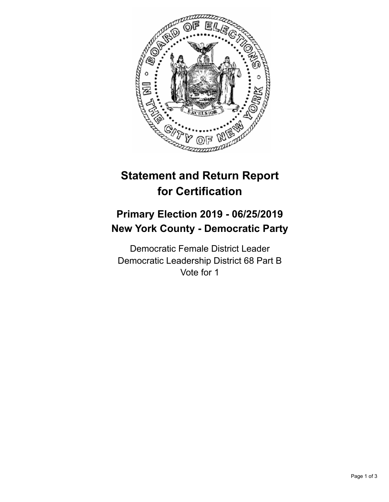

## **Statement and Return Report for Certification**

## **Primary Election 2019 - 06/25/2019 New York County - Democratic Party**

Democratic Female District Leader Democratic Leadership District 68 Part B Vote for 1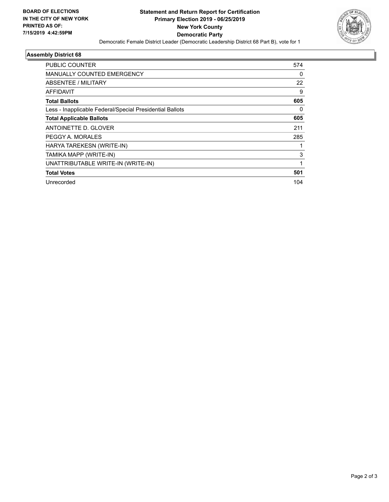

## **Assembly District 68**

| <b>PUBLIC COUNTER</b>                                    | 574 |
|----------------------------------------------------------|-----|
| <b>MANUALLY COUNTED EMERGENCY</b>                        | 0   |
| ABSENTEE / MILITARY                                      | 22  |
| <b>AFFIDAVIT</b>                                         | 9   |
| <b>Total Ballots</b>                                     | 605 |
| Less - Inapplicable Federal/Special Presidential Ballots | 0   |
| <b>Total Applicable Ballots</b>                          | 605 |
| ANTOINETTE D. GLOVER                                     | 211 |
| PEGGY A. MORALES                                         | 285 |
| HARYA TAREKESN (WRITE-IN)                                |     |
| TAMIKA MAPP (WRITE-IN)                                   | 3   |
| UNATTRIBUTABLE WRITE-IN (WRITE-IN)                       | 1   |
| <b>Total Votes</b>                                       | 501 |
| Unrecorded                                               | 104 |